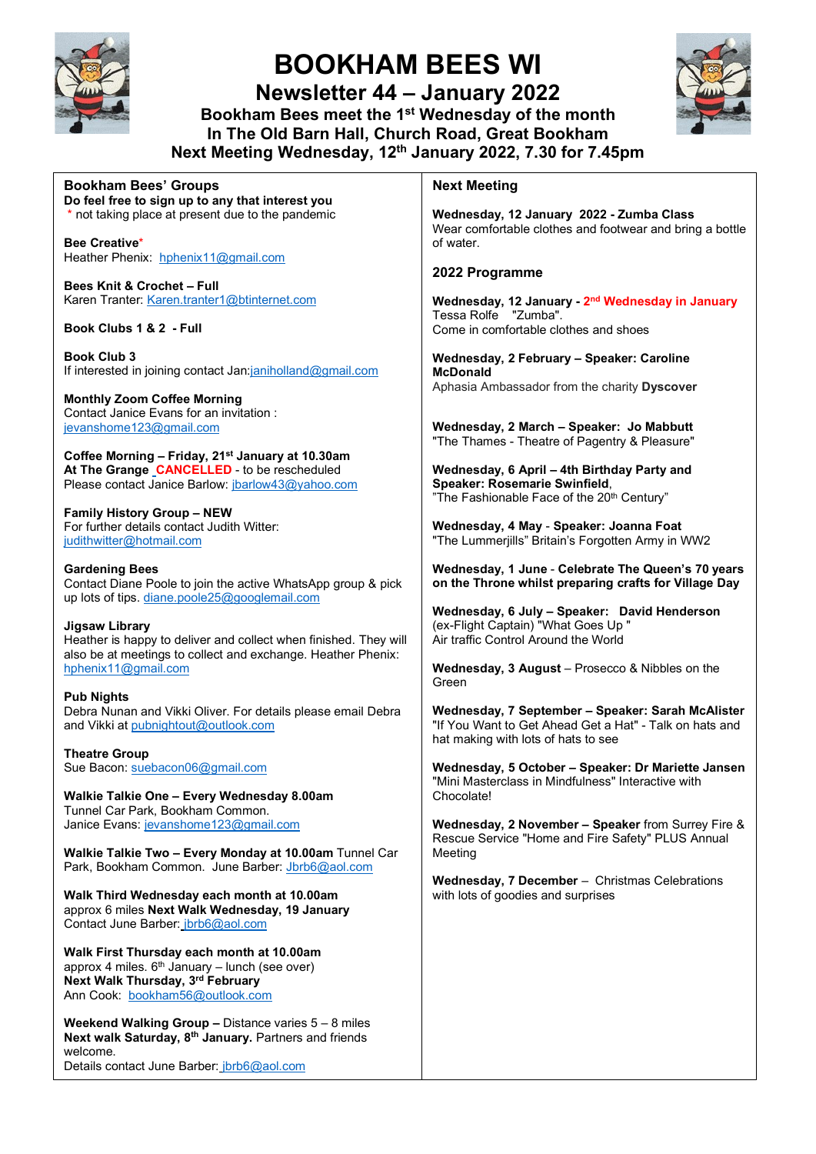

# **BOOKHAM BEES WI**

**Newsletter 44 – January 2022 Bookham Bees meet the 1st Wednesday of the month In The Old Barn Hall, Church Road, Great Bookham Next Meeting Wednesday, 12th January 2022, 7.30 for 7.45pm**



**Bookham Bees' Groups Do feel free to sign up to any that interest you**  \* not taking place at present due to the pandemic

**Bee Creative**\* Heather Phenix: [hphenix11@gmail.com](mailto:hphenix11@gmail.com)

**Bees Knit & Crochet – Full** Karen Tranter: [Karen.tranter1@btinternet.com](mailto:Karen.tranter1@btinternet.com)

**Book Clubs 1 & 2 - Full**

**Book Club 3** If interested in joining contact Ja[n:janiholland@gmail.com](mailto:janiholland@gmail.com)

**Monthly Zoom Coffee Morning**  Contact Janice Evans for an invitation : [jevanshome123@gmail.com](mailto:jevanshome123@gmail.com)

**Coffee Morning – Friday, 21st January at 10.30am**  At The Grange CANCELLED - to be rescheduled Please contact Janice Barlow: [jbarlow43@yahoo.com](mailto:jbarlow43@yahoo.com)

**Family History Group – NEW**  For further details contact Judith Witter: [judithwitter@hotmail.com](mailto:judithwitter@hotmail.com)

**Gardening Bees**  Contact Diane Poole to join the active WhatsApp group & pick up lots of tips[. diane.poole25@googlemail.com](mailto:diane.poole25@googlemail.com)

**Jigsaw Library**  Heather is happy to deliver and collect when finished. They will also be at meetings to collect and exchange. Heather Phenix: [hphenix11@gmail.com](mailto:hphenix11@gmail.com)

**Pub Nights**  Debra Nunan and Vikki Oliver. For details please email Debra and Vikki a[t pubnightout@outlook.com](mailto:pubnightout@outlook.com)

**Theatre Group** Sue Bacon[: suebacon06@gmail.com](mailto:suebacon06@gmail.com)

**Walkie Talkie One – Every Wednesday 8.00am** Tunnel Car Park, Bookham Common. Janice Evans: [jevanshome123@gmail.com](mailto:jevanshome123@gmail.com)

**Walkie Talkie Two – Every Monday at 10.00am** Tunnel Car Park, Bookham Common. June Barber[: Jbrb6@aol.com](mailto:Jbrb6@aol.com)

**Walk Third Wednesday each month at 10.00am** approx 6 miles **Next Walk Wednesday, 19 January** Contact June Barber: [jbrb6@aol.com](mailto:jbrb6@aol.com)

**Walk First Thursday each month at 10.00am**  approx 4 miles.  $6<sup>th</sup>$  January – lunch (see over) **Next Walk Thursday, 3rd February** Ann Cook: [bookham56@outlook.com](mailto:bookham56@outlook.com)

**Weekend Walking Group –** Distance varies 5 – 8 miles **Next walk Saturday, 8th January.** Partners and friends welcome.

Details contact June Barber: [jbrb6@aol.com](mailto:jbrb6@aol.com)

#### **Next Meeting**

**Wednesday, 12 January 2022 - Zumba Class** Wear comfortable clothes and footwear and bring a bottle of water.

#### **2022 Programme**

**Wednesday, 12 January - 2nd Wednesday in January** Tessa Rolfe "Zumba". Come in comfortable clothes and shoes

**Wednesday, 2 February – Speaker: Caroline McDonald** Aphasia Ambassador from the charity **Dyscover**

**Wednesday, 2 March – Speaker: Jo Mabbutt** "The Thames - Theatre of Pagentry & Pleasure"

**Wednesday, 6 April – 4th Birthday Party and Speaker: Rosemarie Swinfield**, "The Fashionable Face of the 20<sup>th</sup> Century"

**Wednesday, 4 May** - **Speaker: Joanna Foat** "The Lummerjills" Britain's Forgotten Army in WW2

**Wednesday, 1 June** - **Celebrate The Queen's 70 years on the Throne whilst preparing crafts for Village Day**

**Wednesday, 6 July – Speaker: David Henderson** (ex-Flight Captain) "What Goes Up " Air traffic Control Around the World

**Wednesday, 3 August** – Prosecco & Nibbles on the Green

**Wednesday, 7 September – Speaker: Sarah McAlister** "If You Want to Get Ahead Get a Hat" - Talk on hats and hat making with lots of hats to see

**Wednesday, 5 October – Speaker: Dr Mariette Jansen** "Mini Masterclass in Mindfulness" Interactive with Chocolate!

**Wednesday, 2 November – Speaker** from Surrey Fire & Rescue Service "Home and Fire Safety" PLUS Annual Meeting

**Wednesday, 7 December** – Christmas Celebrations with lots of goodies and surprises